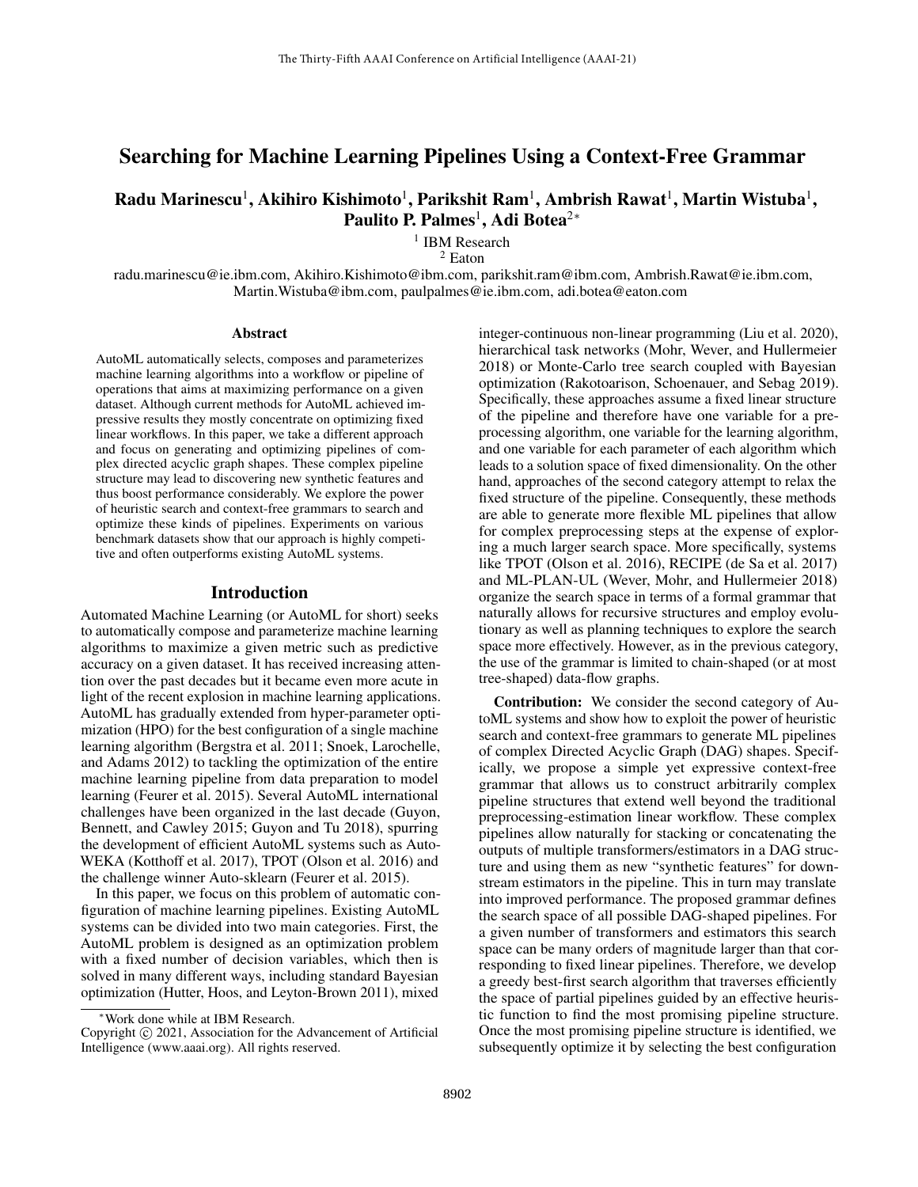# Searching for Machine Learning Pipelines Using a Context-Free Grammar

# Radu Marinescu $^1$ , Akihiro Kishimoto $^1$ , Parikshit Ram $^1$ , Ambrish Rawat $^1$ , Martin Wistuba $^1$ , Paulito P. Palmes<sup>1</sup>, Adi Botea<sup>2∗</sup>

<sup>1</sup> IBM Research

<sup>2</sup> Eaton

radu.marinescu@ie.ibm.com, Akihiro.Kishimoto@ibm.com, parikshit.ram@ibm.com, Ambrish.Rawat@ie.ibm.com, Martin.Wistuba@ibm.com, paulpalmes@ie.ibm.com, adi.botea@eaton.com

#### **Abstract**

AutoML automatically selects, composes and parameterizes machine learning algorithms into a workflow or pipeline of operations that aims at maximizing performance on a given dataset. Although current methods for AutoML achieved impressive results they mostly concentrate on optimizing fixed linear workflows. In this paper, we take a different approach and focus on generating and optimizing pipelines of complex directed acyclic graph shapes. These complex pipeline structure may lead to discovering new synthetic features and thus boost performance considerably. We explore the power of heuristic search and context-free grammars to search and optimize these kinds of pipelines. Experiments on various benchmark datasets show that our approach is highly competitive and often outperforms existing AutoML systems.

#### Introduction

Automated Machine Learning (or AutoML for short) seeks to automatically compose and parameterize machine learning algorithms to maximize a given metric such as predictive accuracy on a given dataset. It has received increasing attention over the past decades but it became even more acute in light of the recent explosion in machine learning applications. AutoML has gradually extended from hyper-parameter optimization (HPO) for the best configuration of a single machine learning algorithm (Bergstra et al. 2011; Snoek, Larochelle, and Adams 2012) to tackling the optimization of the entire machine learning pipeline from data preparation to model learning (Feurer et al. 2015). Several AutoML international challenges have been organized in the last decade (Guyon, Bennett, and Cawley 2015; Guyon and Tu 2018), spurring the development of efficient AutoML systems such as Auto-WEKA (Kotthoff et al. 2017), TPOT (Olson et al. 2016) and the challenge winner Auto-sklearn (Feurer et al. 2015).

In this paper, we focus on this problem of automatic configuration of machine learning pipelines. Existing AutoML systems can be divided into two main categories. First, the AutoML problem is designed as an optimization problem with a fixed number of decision variables, which then is solved in many different ways, including standard Bayesian optimization (Hutter, Hoos, and Leyton-Brown 2011), mixed integer-continuous non-linear programming (Liu et al. 2020), hierarchical task networks (Mohr, Wever, and Hullermeier 2018) or Monte-Carlo tree search coupled with Bayesian optimization (Rakotoarison, Schoenauer, and Sebag 2019). Specifically, these approaches assume a fixed linear structure of the pipeline and therefore have one variable for a preprocessing algorithm, one variable for the learning algorithm, and one variable for each parameter of each algorithm which leads to a solution space of fixed dimensionality. On the other hand, approaches of the second category attempt to relax the fixed structure of the pipeline. Consequently, these methods are able to generate more flexible ML pipelines that allow for complex preprocessing steps at the expense of exploring a much larger search space. More specifically, systems like TPOT (Olson et al. 2016), RECIPE (de Sa et al. 2017) and ML-PLAN-UL (Wever, Mohr, and Hullermeier 2018) organize the search space in terms of a formal grammar that naturally allows for recursive structures and employ evolutionary as well as planning techniques to explore the search space more effectively. However, as in the previous category, the use of the grammar is limited to chain-shaped (or at most tree-shaped) data-flow graphs.

Contribution: We consider the second category of AutoML systems and show how to exploit the power of heuristic search and context-free grammars to generate ML pipelines of complex Directed Acyclic Graph (DAG) shapes. Specifically, we propose a simple yet expressive context-free grammar that allows us to construct arbitrarily complex pipeline structures that extend well beyond the traditional preprocessing-estimation linear workflow. These complex pipelines allow naturally for stacking or concatenating the outputs of multiple transformers/estimators in a DAG structure and using them as new "synthetic features" for downstream estimators in the pipeline. This in turn may translate into improved performance. The proposed grammar defines the search space of all possible DAG-shaped pipelines. For a given number of transformers and estimators this search space can be many orders of magnitude larger than that corresponding to fixed linear pipelines. Therefore, we develop a greedy best-first search algorithm that traverses efficiently the space of partial pipelines guided by an effective heuristic function to find the most promising pipeline structure. Once the most promising pipeline structure is identified, we subsequently optimize it by selecting the best configuration

<sup>∗</sup>Work done while at IBM Research.

Copyright © 2021, Association for the Advancement of Artificial Intelligence (www.aaai.org). All rights reserved.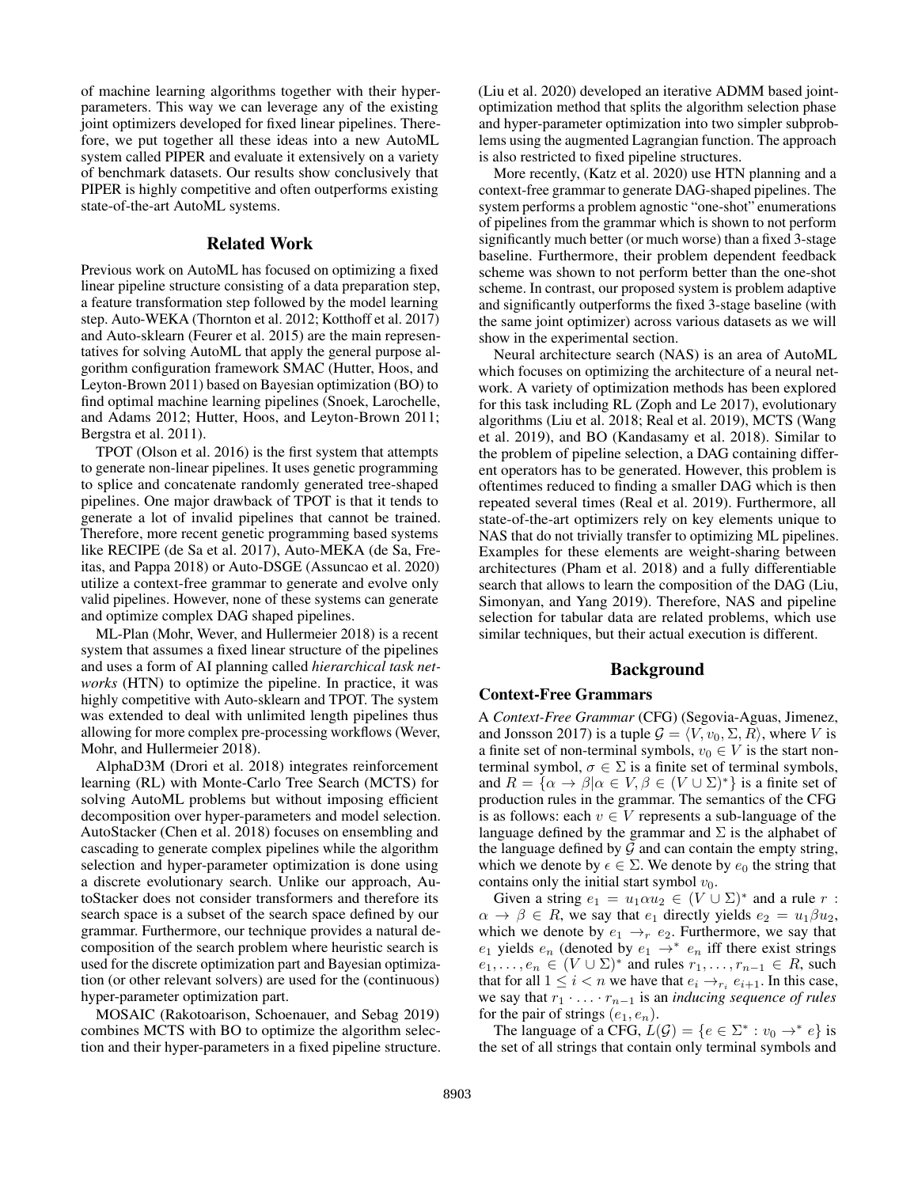of machine learning algorithms together with their hyperparameters. This way we can leverage any of the existing joint optimizers developed for fixed linear pipelines. Therefore, we put together all these ideas into a new AutoML system called PIPER and evaluate it extensively on a variety of benchmark datasets. Our results show conclusively that PIPER is highly competitive and often outperforms existing state-of-the-art AutoML systems.

## Related Work

Previous work on AutoML has focused on optimizing a fixed linear pipeline structure consisting of a data preparation step, a feature transformation step followed by the model learning step. Auto-WEKA (Thornton et al. 2012; Kotthoff et al. 2017) and Auto-sklearn (Feurer et al. 2015) are the main representatives for solving AutoML that apply the general purpose algorithm configuration framework SMAC (Hutter, Hoos, and Leyton-Brown 2011) based on Bayesian optimization (BO) to find optimal machine learning pipelines (Snoek, Larochelle, and Adams 2012; Hutter, Hoos, and Leyton-Brown 2011; Bergstra et al. 2011).

TPOT (Olson et al. 2016) is the first system that attempts to generate non-linear pipelines. It uses genetic programming to splice and concatenate randomly generated tree-shaped pipelines. One major drawback of TPOT is that it tends to generate a lot of invalid pipelines that cannot be trained. Therefore, more recent genetic programming based systems like RECIPE (de Sa et al. 2017), Auto-MEKA (de Sa, Freitas, and Pappa 2018) or Auto-DSGE (Assuncao et al. 2020) utilize a context-free grammar to generate and evolve only valid pipelines. However, none of these systems can generate and optimize complex DAG shaped pipelines.

ML-Plan (Mohr, Wever, and Hullermeier 2018) is a recent system that assumes a fixed linear structure of the pipelines and uses a form of AI planning called *hierarchical task networks* (HTN) to optimize the pipeline. In practice, it was highly competitive with Auto-sklearn and TPOT. The system was extended to deal with unlimited length pipelines thus allowing for more complex pre-processing workflows (Wever, Mohr, and Hullermeier 2018).

AlphaD3M (Drori et al. 2018) integrates reinforcement learning (RL) with Monte-Carlo Tree Search (MCTS) for solving AutoML problems but without imposing efficient decomposition over hyper-parameters and model selection. AutoStacker (Chen et al. 2018) focuses on ensembling and cascading to generate complex pipelines while the algorithm selection and hyper-parameter optimization is done using a discrete evolutionary search. Unlike our approach, AutoStacker does not consider transformers and therefore its search space is a subset of the search space defined by our grammar. Furthermore, our technique provides a natural decomposition of the search problem where heuristic search is used for the discrete optimization part and Bayesian optimization (or other relevant solvers) are used for the (continuous) hyper-parameter optimization part.

MOSAIC (Rakotoarison, Schoenauer, and Sebag 2019) combines MCTS with BO to optimize the algorithm selection and their hyper-parameters in a fixed pipeline structure. (Liu et al. 2020) developed an iterative ADMM based jointoptimization method that splits the algorithm selection phase and hyper-parameter optimization into two simpler subproblems using the augmented Lagrangian function. The approach is also restricted to fixed pipeline structures.

More recently, (Katz et al. 2020) use HTN planning and a context-free grammar to generate DAG-shaped pipelines. The system performs a problem agnostic "one-shot" enumerations of pipelines from the grammar which is shown to not perform significantly much better (or much worse) than a fixed 3-stage baseline. Furthermore, their problem dependent feedback scheme was shown to not perform better than the one-shot scheme. In contrast, our proposed system is problem adaptive and significantly outperforms the fixed 3-stage baseline (with the same joint optimizer) across various datasets as we will show in the experimental section.

Neural architecture search (NAS) is an area of AutoML which focuses on optimizing the architecture of a neural network. A variety of optimization methods has been explored for this task including RL (Zoph and Le 2017), evolutionary algorithms (Liu et al. 2018; Real et al. 2019), MCTS (Wang et al. 2019), and BO (Kandasamy et al. 2018). Similar to the problem of pipeline selection, a DAG containing different operators has to be generated. However, this problem is oftentimes reduced to finding a smaller DAG which is then repeated several times (Real et al. 2019). Furthermore, all state-of-the-art optimizers rely on key elements unique to NAS that do not trivially transfer to optimizing ML pipelines. Examples for these elements are weight-sharing between architectures (Pham et al. 2018) and a fully differentiable search that allows to learn the composition of the DAG (Liu, Simonyan, and Yang 2019). Therefore, NAS and pipeline selection for tabular data are related problems, which use similar techniques, but their actual execution is different.

## Background

## Context-Free Grammars

A *Context-Free Grammar* (CFG) (Segovia-Aguas, Jimenez, and Jonsson 2017) is a tuple  $G = \langle V, v_0, \Sigma, R \rangle$ , where V is a finite set of non-terminal symbols,  $v_0 \in V$  is the start nonterminal symbol,  $\sigma \in \Sigma$  is a finite set of terminal symbols, and  $R = {\alpha \rightarrow \beta | \alpha \in V, \beta \in (V \cup \Sigma)^* }$  is a finite set of production rules in the grammar. The semantics of the CFG is as follows: each  $v \in V$  represents a sub-language of the language defined by the grammar and  $\Sigma$  is the alphabet of the language defined by  $G$  and can contain the empty string, which we denote by  $\epsilon \in \Sigma$ . We denote by  $e_0$  the string that contains only the initial start symbol  $v_0$ .

Given a string  $e_1 = u_1 \alpha u_2 \in (V \cup \Sigma)^*$  and a rule  $r$ :  $\alpha \rightarrow \beta \in R$ , we say that  $e_1$  directly yields  $e_2 = u_1 \beta u_2$ , which we denote by  $e_1 \rightarrow_r e_2$ . Furthermore, we say that  $e_1$  yields  $e_n$  (denoted by  $e_1 \rightarrow^* e_n$  iff there exist strings  $e_1, \ldots, e_n \in (V \cup \Sigma)^*$  and rules  $r_1, \ldots, r_{n-1} \in R$ , such that for all  $1 \leq i < n$  we have that  $e_i \rightarrow_{r_i} e_{i+1}$ . In this case, we say that  $r_1 \cdot \ldots \cdot r_{n-1}$  is an *inducing sequence of rules* for the pair of strings  $(e_1, e_n)$ .

The language of a CFG,  $L(G) = \{e \in \Sigma^* : v_0 \to^* e\}$  is the set of all strings that contain only terminal symbols and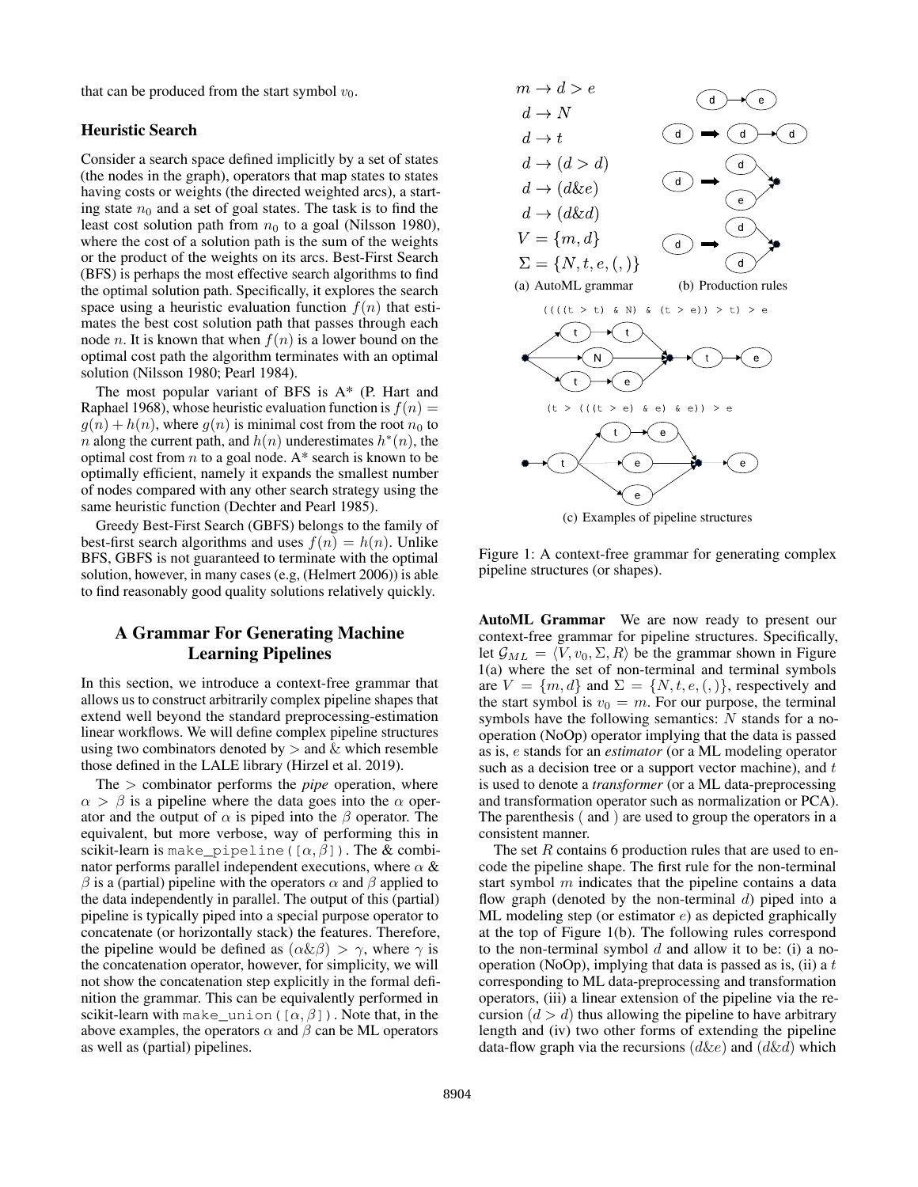that can be produced from the start symbol  $v_0$ .

## Heuristic Search

Consider a search space defined implicitly by a set of states (the nodes in the graph), operators that map states to states having costs or weights (the directed weighted arcs), a starting state  $n_0$  and a set of goal states. The task is to find the least cost solution path from  $n_0$  to a goal (Nilsson 1980), where the cost of a solution path is the sum of the weights or the product of the weights on its arcs. Best-First Search (BFS) is perhaps the most effective search algorithms to find the optimal solution path. Specifically, it explores the search space using a heuristic evaluation function  $f(n)$  that estimates the best cost solution path that passes through each node *n*. It is known that when  $f(n)$  is a lower bound on the optimal cost path the algorithm terminates with an optimal solution (Nilsson 1980; Pearl 1984).

The most popular variant of BFS is A\* (P. Hart and Raphael 1968), whose heuristic evaluation function is  $f(n) =$  $g(n) + h(n)$ , where  $g(n)$  is minimal cost from the root  $n_0$  to n along the current path, and  $h(n)$  underestimates  $h^*(n)$ , the optimal cost from  $n$  to a goal node. A\* search is known to be optimally efficient, namely it expands the smallest number of nodes compared with any other search strategy using the same heuristic function (Dechter and Pearl 1985).

Greedy Best-First Search (GBFS) belongs to the family of best-first search algorithms and uses  $f(n) = h(n)$ . Unlike BFS, GBFS is not guaranteed to terminate with the optimal solution, however, in many cases (e.g, (Helmert 2006)) is able to find reasonably good quality solutions relatively quickly.

# A Grammar For Generating Machine Learning Pipelines

In this section, we introduce a context-free grammar that allows us to construct arbitrarily complex pipeline shapes that extend well beyond the standard preprocessing-estimation linear workflows. We will define complex pipeline structures using two combinators denoted by  $>$  and  $\&$  which resemble those defined in the LALE library (Hirzel et al. 2019).

The > combinator performs the *pipe* operation, where  $\alpha > \beta$  is a pipeline where the data goes into the  $\alpha$  operator and the output of  $\alpha$  is piped into the  $\beta$  operator. The equivalent, but more verbose, way of performing this in scikit-learn is make\_pipeline( $[\alpha, \beta]$ ). The & combinator performs parallel independent executions, where  $\alpha \&$  $β$  is a (partial) pipeline with the operators  $α$  and  $β$  applied to the data independently in parallel. The output of this (partial) pipeline is typically piped into a special purpose operator to concatenate (or horizontally stack) the features. Therefore, the pipeline would be defined as  $(\alpha \& \beta) > \gamma$ , where  $\gamma$  is the concatenation operator, however, for simplicity, we will not show the concatenation step explicitly in the formal definition the grammar. This can be equivalently performed in scikit-learn with make\_union( $[\alpha, \beta]$ ). Note that, in the above examples, the operators  $\alpha$  and  $\beta$  can be ML operators as well as (partial) pipelines.



(c) Examples of pipeline structures

Figure 1: A context-free grammar for generating complex pipeline structures (or shapes).

AutoML Grammar We are now ready to present our context-free grammar for pipeline structures. Specifically, let  $\mathcal{G}_{ML} = \langle V, v_0, \Sigma, R \rangle$  be the grammar shown in Figure 1(a) where the set of non-terminal and terminal symbols are  $V = \{m, d\}$  and  $\Sigma = \{N, t, e, (,) \}$ , respectively and the start symbol is  $v_0 = m$ . For our purpose, the terminal symbols have the following semantics:  $N$  stands for a nooperation (NoOp) operator implying that the data is passed as is, e stands for an *estimator* (or a ML modeling operator such as a decision tree or a support vector machine), and  $t$ is used to denote a *transformer* (or a ML data-preprocessing and transformation operator such as normalization or PCA). The parenthesis ( and ) are used to group the operators in a consistent manner.

The set  $R$  contains 6 production rules that are used to encode the pipeline shape. The first rule for the non-terminal start symbol  $m$  indicates that the pipeline contains a data flow graph (denoted by the non-terminal  $d$ ) piped into a ML modeling step (or estimator e) as depicted graphically at the top of Figure 1(b). The following rules correspond to the non-terminal symbol  $d$  and allow it to be: (i) a nooperation (NoOp), implying that data is passed as is, (ii) a  $t$ corresponding to ML data-preprocessing and transformation operators, (iii) a linear extension of the pipeline via the recursion  $(d > d)$  thus allowing the pipeline to have arbitrary length and (iv) two other forms of extending the pipeline data-flow graph via the recursions  $(d\&e)$  and  $(d\&d)$  which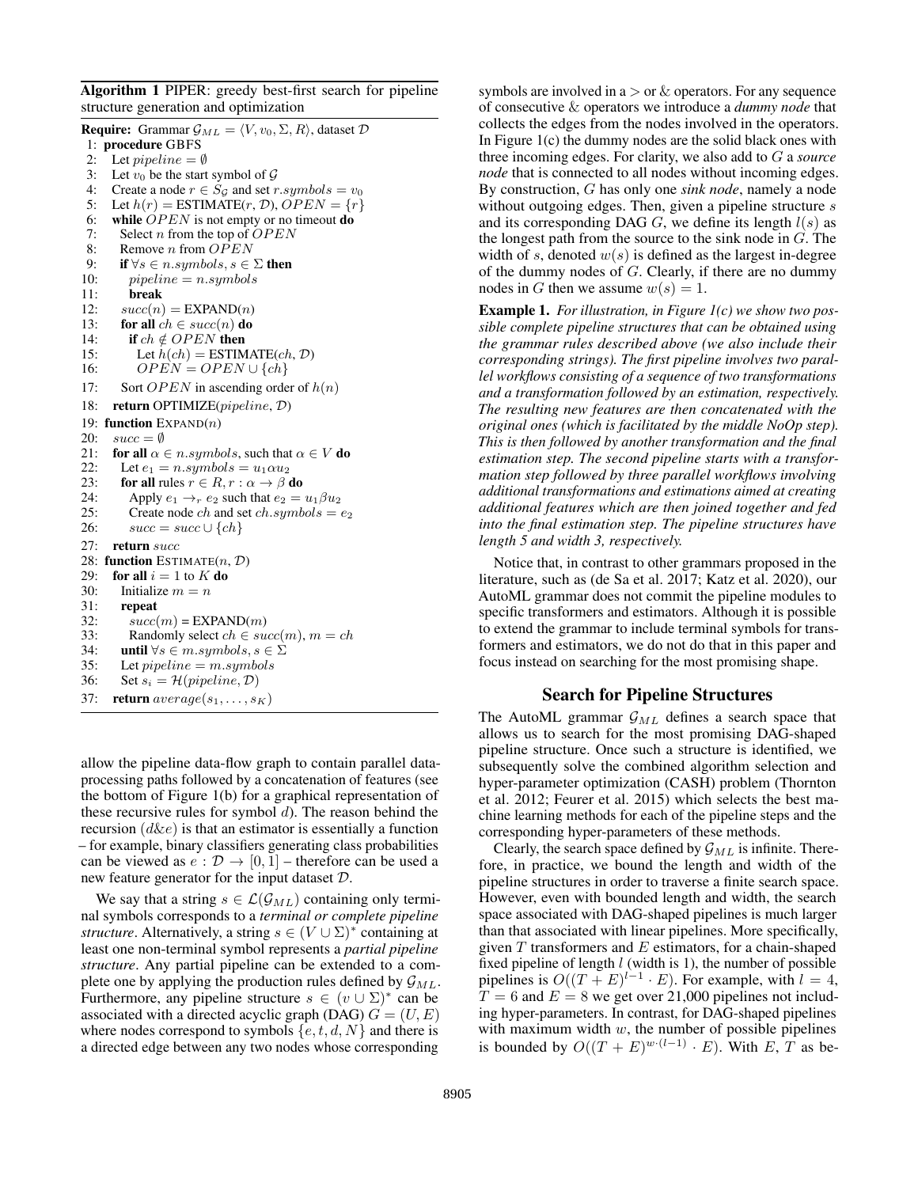Algorithm 1 PIPER: greedy best-first search for pipeline structure generation and optimization

**Require:** Grammar  $\mathcal{G}_{ML} = \langle V, v_0, \Sigma, R \rangle$ , dataset  $\mathcal{D}$ 1: procedure GBFS 2: Let *pipeline* =  $\emptyset$ <br>3: Let  $v_0$  be the start Let  $v_0$  be the start symbol of  $\mathcal G$ 4: Create a node  $r \in S_G$  and set r.symbols =  $v_0$ 5: Let  $h(r)$  = ESTIMATE $(r, \mathcal{D})$ ,  $OPEN = \{r\}$ 6: while  $OPEN$  is not empty or no timeout **do** 7: Select *n* from the top of  $OPEN$ 8: Remove *n* from OPEN 9: **if**  $\forall s \in n.\mathit{symbols}$ ,  $s \in \Sigma$  **then**<br>10: *pipeline* = *n.symbols*  $pi$ ipeline = n.symbols 11: break 12:  $succ(n) = EXPAND(n)$ 13: for all  $ch \in succ(n)$  do 14: **if**  $ch \notin OPER$  **then** 15: Let  $h(ch) = ESTIMATE(ch, \mathcal{D})$ 16:  $OPEN = OPEN \cup \{ch\}$ 17: Sort *OPEN* in ascending order of  $h(n)$ 18: return OPTIMIZE(pipeline, D) 19: function  $EXPAND(n)$ 20:  $succ = \emptyset$ <br>21: **for all**  $\alpha$ 21: **for all**  $\alpha \in n.symbols$ , such that  $\alpha \in V$  **do**<br>22: Let  $e_1 = n.symbols = u_1 \alpha u_2$ Let  $e_1 = n.symbols = u_1 \alpha u_2$ 23: for all rules  $r \in R$ ,  $r : \alpha \to \beta$  do 24: Apply  $e_1 \rightarrow_r e_2$  such that  $e_2 = u_1 \beta u_2$ 25: Create node *ch* and set *ch.symbols* =  $e_2$ <br>26:  $succ = succ \cup \{ch\}$  $succ = succ \cup \{ch\}$ 27: return succ 28: function ESTIMATE $(n, \mathcal{D})$ 29: for all  $i = 1$  to  $K$  do 30: Initialize  $m = n$ 31: repeat 32:  $succ(m) = EXPAND(m)$ 33: Randomly select  $ch \in succ(m), m = ch$ 34: **until**  $\forall s \in m.\mathit{symbols}$ ,  $s \in \Sigma$ <br>35: Let *pipeline* = *m.sumbols* Let  $pipeline = m.symbols$ 36: Set  $s_i = \mathcal{H}(pipeline, \mathcal{D})$ 37: **return**  $average(s_1, \ldots, s_K)$ 

allow the pipeline data-flow graph to contain parallel dataprocessing paths followed by a concatenation of features (see the bottom of Figure 1(b) for a graphical representation of these recursive rules for symbol  $d$ ). The reason behind the recursion  $(d\&e)$  is that an estimator is essentially a function – for example, binary classifiers generating class probabilities can be viewed as  $e : \mathcal{D} \to [0, 1]$  – therefore can be used a new feature generator for the input dataset D.

We say that a string  $s \in \mathcal{L}(\mathcal{G}_{ML})$  containing only terminal symbols corresponds to a *terminal or complete pipeline structure*. Alternatively, a string  $s \in (V \cup \Sigma)^*$  containing at least one non-terminal symbol represents a *partial pipeline structure*. Any partial pipeline can be extended to a complete one by applying the production rules defined by  $\mathcal{G}_{ML}$ . Furthermore, any pipeline structure  $s \in (v \cup \Sigma)^*$  can be associated with a directed acyclic graph (DAG)  $G=(U,E)$ where nodes correspond to symbols  $\{e, t, d, N\}$  and there is a directed edge between any two nodes whose corresponding

symbols are involved in  $a >$  or  $\&$  operators. For any sequence of consecutive & operators we introduce a *dummy node* that collects the edges from the nodes involved in the operators. In Figure 1(c) the dummy nodes are the solid black ones with three incoming edges. For clarity, we also add to G a *source node* that is connected to all nodes without incoming edges. By construction, G has only one *sink node*, namely a node without outgoing edges. Then, given a pipeline structure s and its corresponding DAG  $G$ , we define its length  $l(s)$  as the longest path from the source to the sink node in  $G$ . The width of s, denoted  $w(s)$  is defined as the largest in-degree of the dummy nodes of G. Clearly, if there are no dummy nodes in G then we assume  $w(s) = 1$ .

Example 1. *For illustration, in Figure 1(c) we show two possible complete pipeline structures that can be obtained using the grammar rules described above (we also include their corresponding strings). The first pipeline involves two parallel workflows consisting of a sequence of two transformations and a transformation followed by an estimation, respectively. The resulting new features are then concatenated with the original ones (which is facilitated by the middle NoOp step). This is then followed by another transformation and the final estimation step. The second pipeline starts with a transformation step followed by three parallel workflows involving additional transformations and estimations aimed at creating additional features which are then joined together and fed into the final estimation step. The pipeline structures have length 5 and width 3, respectively.*

Notice that, in contrast to other grammars proposed in the literature, such as (de Sa et al. 2017; Katz et al. 2020), our AutoML grammar does not commit the pipeline modules to specific transformers and estimators. Although it is possible to extend the grammar to include terminal symbols for transformers and estimators, we do not do that in this paper and focus instead on searching for the most promising shape.

## Search for Pipeline Structures

The AutoML grammar  $\mathcal{G}_{ML}$  defines a search space that allows us to search for the most promising DAG-shaped pipeline structure. Once such a structure is identified, we subsequently solve the combined algorithm selection and hyper-parameter optimization (CASH) problem (Thornton et al. 2012; Feurer et al. 2015) which selects the best machine learning methods for each of the pipeline steps and the corresponding hyper-parameters of these methods.

Clearly, the search space defined by  $\mathcal{G}_{ML}$  is infinite. Therefore, in practice, we bound the length and width of the pipeline structures in order to traverse a finite search space. However, even with bounded length and width, the search space associated with DAG-shaped pipelines is much larger than that associated with linear pipelines. More specifically, given  $T$  transformers and  $E$  estimators, for a chain-shaped fixed pipeline of length  $l$  (width is 1), the number of possible pipelines is  $O((T + E)^{l-1} \cdot E)$ . For example, with  $l = 4$ ,  $T = 6$  and  $E = 8$  we get over 21,000 pipelines not including hyper-parameters. In contrast, for DAG-shaped pipelines with maximum width  $w$ , the number of possible pipelines is bounded by  $O((T + E)^{w \cdot (l-1)} \cdot E)$ . With E, T as be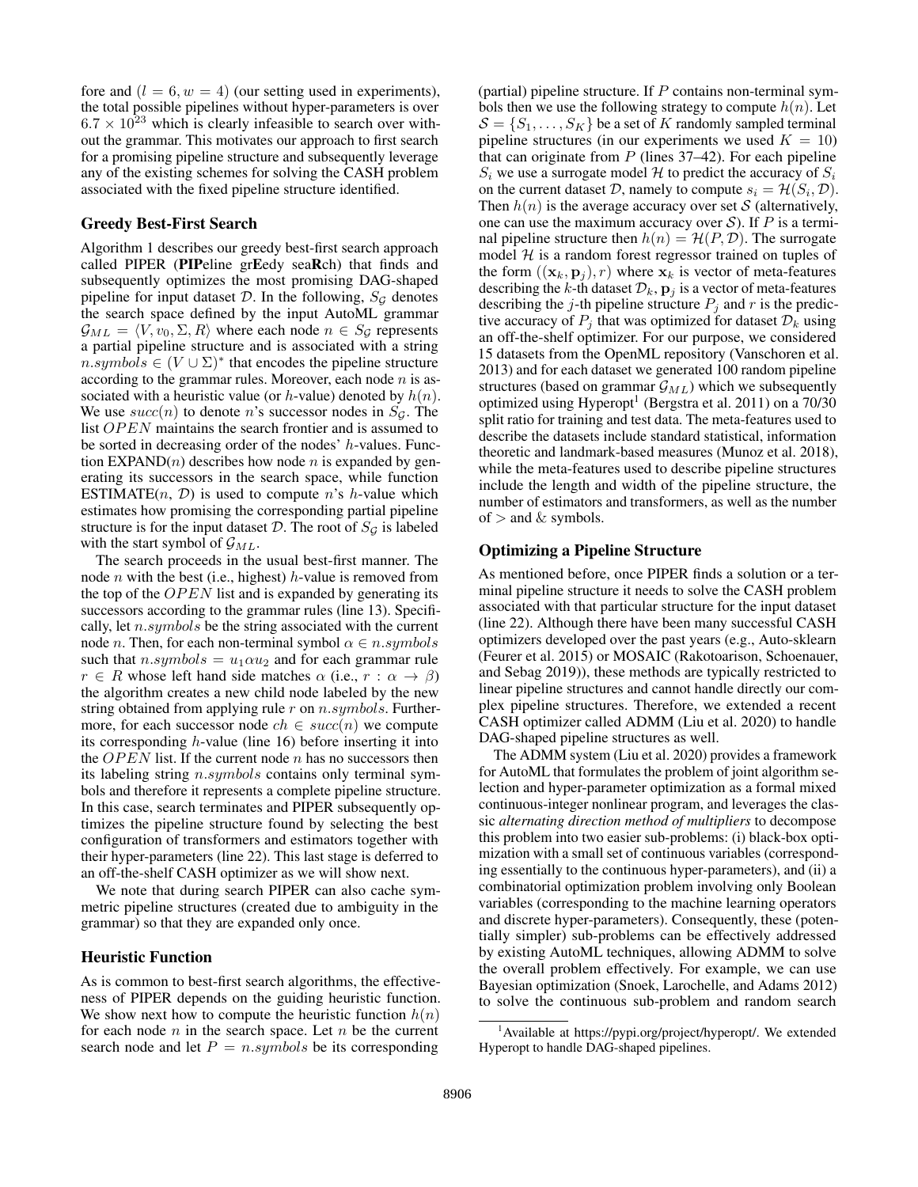fore and  $(l = 6, w = 4)$  (our setting used in experiments), the total possible pipelines without hyper-parameters is over  $6.7 \times 10^{23}$  which is clearly infeasible to search over without the grammar. This motivates our approach to first search for a promising pipeline structure and subsequently leverage any of the existing schemes for solving the CASH problem associated with the fixed pipeline structure identified.

#### Greedy Best-First Search

Algorithm 1 describes our greedy best-first search approach called PIPER (PIPeline grEedy seaRch) that finds and subsequently optimizes the most promising DAG-shaped pipeline for input dataset  $D$ . In the following,  $S_G$  denotes the search space defined by the input AutoML grammar  $\mathcal{G}_{ML} = \langle V, v_0, \Sigma, R \rangle$  where each node  $n \in S_G$  represents a partial pipeline structure and is associated with a string  $n.symbols \in (V \cup \Sigma)^*$  that encodes the pipeline structure according to the grammar rules. Moreover, each node  $n$  is associated with a heuristic value (or  $h$ -value) denoted by  $h(n)$ . We use  $succ(n)$  to denote n's successor nodes in  $S_g$ . The list  $OPEN$  maintains the search frontier and is assumed to be sorted in decreasing order of the nodes'  $h$ -values. Function  $EXPAND(n)$  describes how node *n* is expanded by generating its successors in the search space, while function ESTIMATE $(n, \mathcal{D})$  is used to compute n's h-value which estimates how promising the corresponding partial pipeline structure is for the input dataset  $D$ . The root of  $S<sub>G</sub>$  is labeled with the start symbol of  $\mathcal{G}_{ML}$ .

The search proceeds in the usual best-first manner. The node *n* with the best (i.e., highest) *h*-value is removed from the top of the  $OPEN$  list and is expanded by generating its successors according to the grammar rules (line 13). Specifically, let  $n.symbols$  be the string associated with the current node *n*. Then, for each non-terminal symbol  $\alpha \in n \, symbols$ such that  $n.symbols = u_1 \alpha u_2$  and for each grammar rule  $r \in R$  whose left hand side matches  $\alpha$  (i.e.,  $r : \alpha \to \beta$ ) the algorithm creates a new child node labeled by the new string obtained from applying rule  $r$  on  $n.symbols$ . Furthermore, for each successor node  $ch \in succ(n)$  we compute its corresponding h-value (line 16) before inserting it into the  $OPEN$  list. If the current node n has no successors then its labeling string n.symbols contains only terminal symbols and therefore it represents a complete pipeline structure. In this case, search terminates and PIPER subsequently optimizes the pipeline structure found by selecting the best configuration of transformers and estimators together with their hyper-parameters (line 22). This last stage is deferred to an off-the-shelf CASH optimizer as we will show next.

We note that during search PIPER can also cache symmetric pipeline structures (created due to ambiguity in the grammar) so that they are expanded only once.

## Heuristic Function

As is common to best-first search algorithms, the effectiveness of PIPER depends on the guiding heuristic function. We show next how to compute the heuristic function  $h(n)$ for each node  $n$  in the search space. Let  $n$  be the current search node and let  $P = n.symbols$  be its corresponding

(partial) pipeline structure. If  $P$  contains non-terminal symbols then we use the following strategy to compute  $h(n)$ . Let  $S = \{S_1, \ldots, S_K\}$  be a set of K randomly sampled terminal pipeline structures (in our experiments we used  $K = 10$ ) that can originate from  $P$  (lines 37–42). For each pipeline  $S_i$  we use a surrogate model H to predict the accuracy of  $S_i$ on the current dataset D, namely to compute  $s_i = \mathcal{H}(S_i, \mathcal{D})$ . Then  $h(n)$  is the average accuracy over set S (alternatively, one can use the maximum accuracy over  $S$ ). If P is a terminal pipeline structure then  $h(n) = H(P, D)$ . The surrogate model  $H$  is a random forest regressor trained on tuples of the form  $((\mathbf{x}_k, \mathbf{p}_i), r)$  where  $\mathbf{x}_k$  is vector of meta-features describing the k-th dataset  $\mathcal{D}_k$ ,  $\mathbf{p}_j$  is a vector of meta-features describing the j-th pipeline structure  $P_j$  and r is the predictive accuracy of  $P_j$  that was optimized for dataset  $\mathcal{D}_k$  using an off-the-shelf optimizer. For our purpose, we considered 15 datasets from the OpenML repository (Vanschoren et al. 2013) and for each dataset we generated 100 random pipeline structures (based on grammar  $\mathcal{G}_{ML}$ ) which we subsequently optimized using Hyperopt<sup>1</sup> (Bergstra et al. 2011) on a 70/30 split ratio for training and test data. The meta-features used to describe the datasets include standard statistical, information theoretic and landmark-based measures (Munoz et al. 2018), while the meta-features used to describe pipeline structures include the length and width of the pipeline structure, the number of estimators and transformers, as well as the number of  $>$  and  $\&$  symbols.

# Optimizing a Pipeline Structure

As mentioned before, once PIPER finds a solution or a terminal pipeline structure it needs to solve the CASH problem associated with that particular structure for the input dataset (line 22). Although there have been many successful CASH optimizers developed over the past years (e.g., Auto-sklearn (Feurer et al. 2015) or MOSAIC (Rakotoarison, Schoenauer, and Sebag 2019)), these methods are typically restricted to linear pipeline structures and cannot handle directly our complex pipeline structures. Therefore, we extended a recent CASH optimizer called ADMM (Liu et al. 2020) to handle DAG-shaped pipeline structures as well.

The ADMM system (Liu et al. 2020) provides a framework for AutoML that formulates the problem of joint algorithm selection and hyper-parameter optimization as a formal mixed continuous-integer nonlinear program, and leverages the classic *alternating direction method of multipliers* to decompose this problem into two easier sub-problems: (i) black-box optimization with a small set of continuous variables (corresponding essentially to the continuous hyper-parameters), and (ii) a combinatorial optimization problem involving only Boolean variables (corresponding to the machine learning operators and discrete hyper-parameters). Consequently, these (potentially simpler) sub-problems can be effectively addressed by existing AutoML techniques, allowing ADMM to solve the overall problem effectively. For example, we can use Bayesian optimization (Snoek, Larochelle, and Adams 2012) to solve the continuous sub-problem and random search

<sup>&</sup>lt;sup>1</sup>Available at https://pypi.org/project/hyperopt/. We extended Hyperopt to handle DAG-shaped pipelines.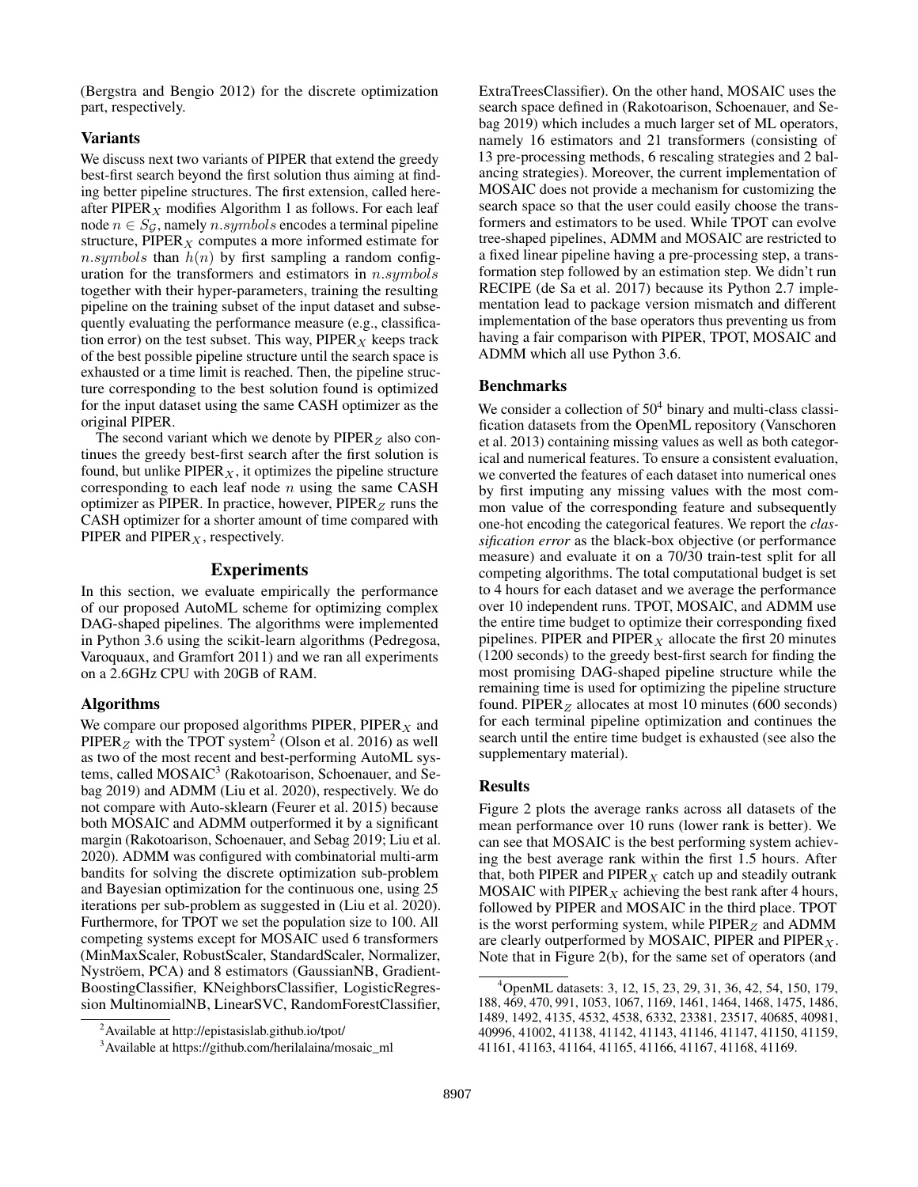(Bergstra and Bengio 2012) for the discrete optimization part, respectively.

# Variants

We discuss next two variants of PIPER that extend the greedy best-first search beyond the first solution thus aiming at finding better pipeline structures. The first extension, called hereafter PIPER<sub>X</sub> modifies Algorithm 1 as follows. For each leaf node  $n \in S_G$ , namely n.symbols encodes a terminal pipeline structure, PIPER<sub>X</sub> computes a more informed estimate for n.symbols than  $h(n)$  by first sampling a random configuration for the transformers and estimators in  $n.symbols$ together with their hyper-parameters, training the resulting pipeline on the training subset of the input dataset and subsequently evaluating the performance measure (e.g., classification error) on the test subset. This way,  $PIPER<sub>X</sub>$  keeps track of the best possible pipeline structure until the search space is exhausted or a time limit is reached. Then, the pipeline structure corresponding to the best solution found is optimized for the input dataset using the same CASH optimizer as the original PIPER.

The second variant which we denote by  $PIPER_Z$  also continues the greedy best-first search after the first solution is found, but unlike PIPER $<sub>X</sub>$ , it optimizes the pipeline structure</sub> corresponding to each leaf node  $n$  using the same CASH optimizer as PIPER. In practice, however,  $PIPER<sub>Z</sub>$  runs the CASH optimizer for a shorter amount of time compared with PIPER and  $PIPER<sub>X</sub>$ , respectively.

## Experiments

In this section, we evaluate empirically the performance of our proposed AutoML scheme for optimizing complex DAG-shaped pipelines. The algorithms were implemented in Python 3.6 using the scikit-learn algorithms (Pedregosa, Varoquaux, and Gramfort 2011) and we ran all experiments on a 2.6GHz CPU with 20GB of RAM.

#### Algorithms

We compare our proposed algorithms PIPER,  $PIPER_X$  and PIPER<sub>Z</sub> with the TPOT system<sup>2</sup> (Olson et al. 2016) as well as two of the most recent and best-performing AutoML systems, called MOSAIC<sup>3</sup> (Rakotoarison, Schoenauer, and Sebag 2019) and ADMM (Liu et al. 2020), respectively. We do not compare with Auto-sklearn (Feurer et al. 2015) because both MOSAIC and ADMM outperformed it by a significant margin (Rakotoarison, Schoenauer, and Sebag 2019; Liu et al. 2020). ADMM was configured with combinatorial multi-arm bandits for solving the discrete optimization sub-problem and Bayesian optimization for the continuous one, using 25 iterations per sub-problem as suggested in (Liu et al. 2020). Furthermore, for TPOT we set the population size to 100. All competing systems except for MOSAIC used 6 transformers (MinMaxScaler, RobustScaler, StandardScaler, Normalizer, Nyströem, PCA) and 8 estimators (GaussianNB, Gradient-BoostingClassifier, KNeighborsClassifier, LogisticRegression MultinomialNB, LinearSVC, RandomForestClassifier, ExtraTreesClassifier). On the other hand, MOSAIC uses the search space defined in (Rakotoarison, Schoenauer, and Sebag 2019) which includes a much larger set of ML operators, namely 16 estimators and 21 transformers (consisting of 13 pre-processing methods, 6 rescaling strategies and 2 balancing strategies). Moreover, the current implementation of MOSAIC does not provide a mechanism for customizing the search space so that the user could easily choose the transformers and estimators to be used. While TPOT can evolve tree-shaped pipelines, ADMM and MOSAIC are restricted to a fixed linear pipeline having a pre-processing step, a transformation step followed by an estimation step. We didn't run RECIPE (de Sa et al. 2017) because its Python 2.7 implementation lead to package version mismatch and different implementation of the base operators thus preventing us from having a fair comparison with PIPER, TPOT, MOSAIC and ADMM which all use Python 3.6.

#### Benchmarks

We consider a collection of  $50<sup>4</sup>$  binary and multi-class classification datasets from the OpenML repository (Vanschoren et al. 2013) containing missing values as well as both categorical and numerical features. To ensure a consistent evaluation, we converted the features of each dataset into numerical ones by first imputing any missing values with the most common value of the corresponding feature and subsequently one-hot encoding the categorical features. We report the *classification error* as the black-box objective (or performance measure) and evaluate it on a 70/30 train-test split for all competing algorithms. The total computational budget is set to 4 hours for each dataset and we average the performance over 10 independent runs. TPOT, MOSAIC, and ADMM use the entire time budget to optimize their corresponding fixed pipelines. PIPER and PIPER<sub>X</sub> allocate the first 20 minutes (1200 seconds) to the greedy best-first search for finding the most promising DAG-shaped pipeline structure while the remaining time is used for optimizing the pipeline structure found. PIPER<sub>Z</sub> allocates at most 10 minutes (600 seconds) for each terminal pipeline optimization and continues the search until the entire time budget is exhausted (see also the supplementary material).

#### Results

Figure 2 plots the average ranks across all datasets of the mean performance over 10 runs (lower rank is better). We can see that MOSAIC is the best performing system achieving the best average rank within the first 1.5 hours. After that, both PIPER and PIPER  $_X$  catch up and steadily outrank MOSAIC with PIPER  $_X$  achieving the best rank after 4 hours, followed by PIPER and MOSAIC in the third place. TPOT is the worst performing system, while  $PIPER_Z$  and ADMM are clearly outperformed by MOSAIC, PIPER and  $PIPER<sub>X</sub>$ . Note that in Figure 2(b), for the same set of operators (and

<sup>2</sup>Available at http://epistasislab.github.io/tpot/

<sup>&</sup>lt;sup>3</sup>Available at https://github.com/herilalaina/mosaic\_ml

<sup>4</sup>OpenML datasets: 3, 12, 15, 23, 29, 31, 36, 42, 54, 150, 179, 188, 469, 470, 991, 1053, 1067, 1169, 1461, 1464, 1468, 1475, 1486, 1489, 1492, 4135, 4532, 4538, 6332, 23381, 23517, 40685, 40981, 40996, 41002, 41138, 41142, 41143, 41146, 41147, 41150, 41159, 41161, 41163, 41164, 41165, 41166, 41167, 41168, 41169.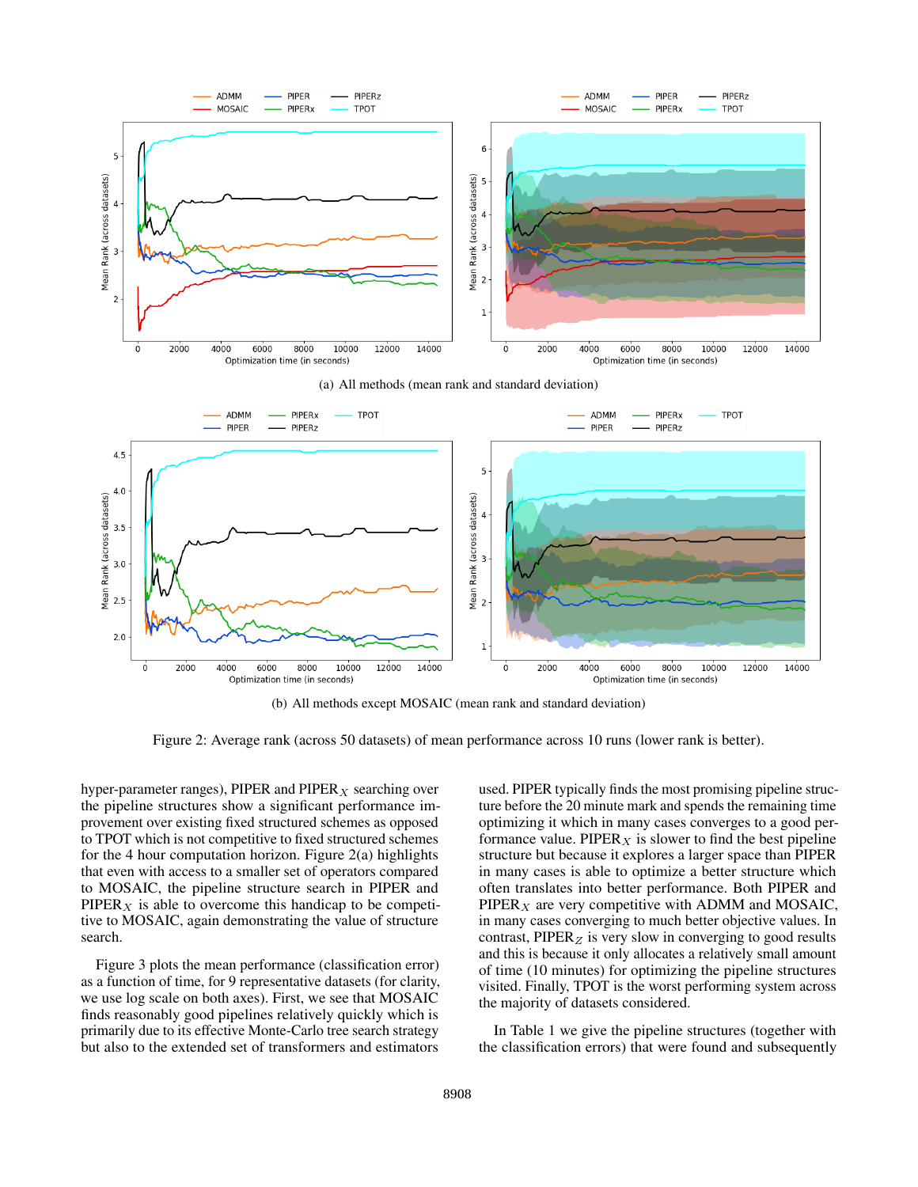

(b) All methods except MOSAIC (mean rank and standard deviation)

Figure 2: Average rank (across 50 datasets) of mean performance across 10 runs (lower rank is better).

hyper-parameter ranges), PIPER and  $PIPER<sub>X</sub>$  searching over the pipeline structures show a significant performance improvement over existing fixed structured schemes as opposed to TPOT which is not competitive to fixed structured schemes for the 4 hour computation horizon. Figure 2(a) highlights that even with access to a smaller set of operators compared to MOSAIC, the pipeline structure search in PIPER and  $PIPER<sub>X</sub>$  is able to overcome this handicap to be competitive to MOSAIC, again demonstrating the value of structure search.

Figure 3 plots the mean performance (classification error) as a function of time, for 9 representative datasets (for clarity, we use log scale on both axes). First, we see that MOSAIC finds reasonably good pipelines relatively quickly which is primarily due to its effective Monte-Carlo tree search strategy but also to the extended set of transformers and estimators

used. PIPER typically finds the most promising pipeline structure before the 20 minute mark and spends the remaining time optimizing it which in many cases converges to a good performance value. PIPER<sub>X</sub> is slower to find the best pipeline structure but because it explores a larger space than PIPER in many cases is able to optimize a better structure which often translates into better performance. Both PIPER and  $PIPER<sub>X</sub>$  are very competitive with ADMM and MOSAIC, in many cases converging to much better objective values. In contrast,  $PIPER_Z$  is very slow in converging to good results and this is because it only allocates a relatively small amount of time (10 minutes) for optimizing the pipeline structures visited. Finally, TPOT is the worst performing system across the majority of datasets considered.

In Table 1 we give the pipeline structures (together with the classification errors) that were found and subsequently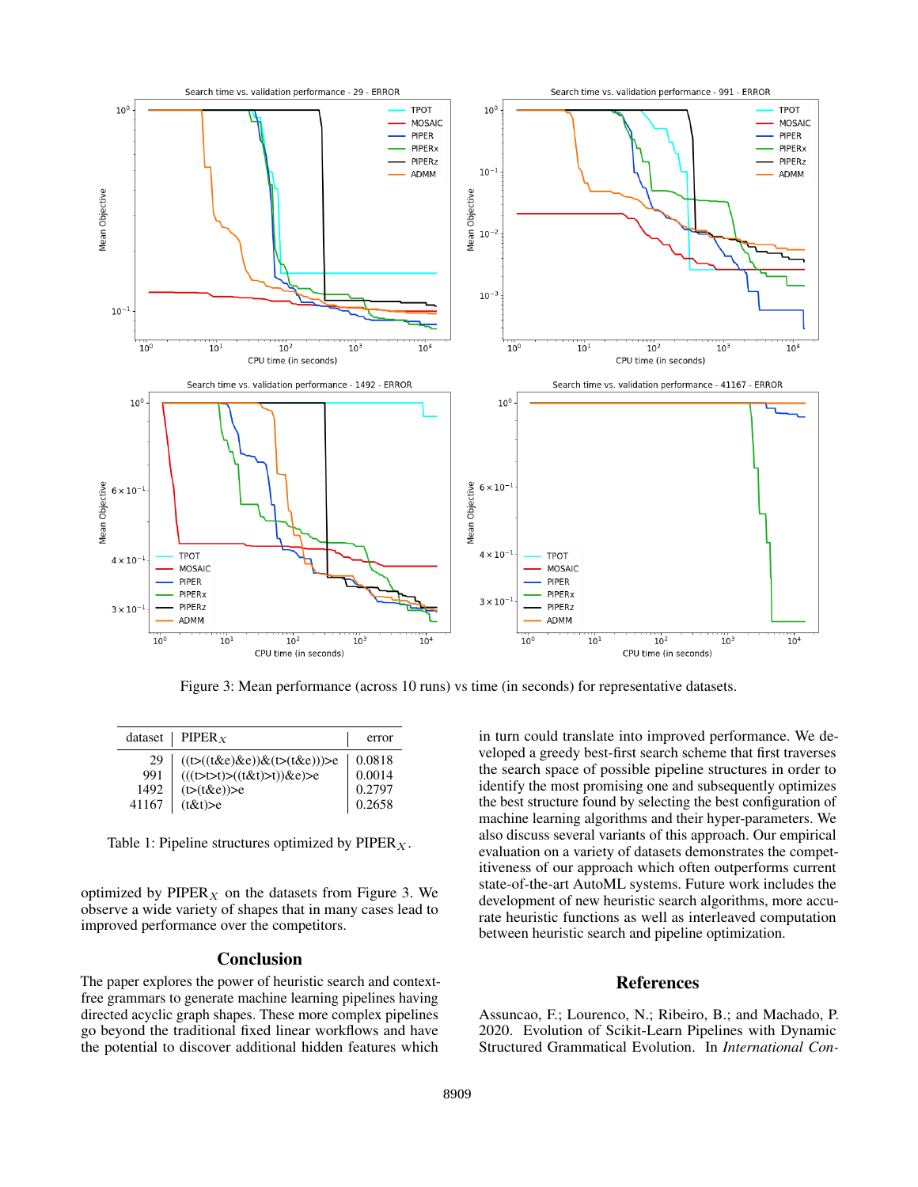

Figure 3: Mean performance (across 10 runs) vs time (in seconds) for representative datasets.

|       | dataset   PIPER $_X$                                     | error  |
|-------|----------------------------------------------------------|--------|
| 29    |                                                          | 0.0818 |
| 991   | ((t>((t&e)&e))&(t>(t&e)))>e<br>(((t>t>t)>((t&t)>t))&e)>e | 0.0014 |
| 1492  | $(t>(t \& e))>e$                                         | 0.2797 |
| 41167 | (t&t)                                                    | 0.2658 |

Table 1: Pipeline structures optimized by PIPER  $_X$ .

optimized by  $PIPER<sub>X</sub>$  on the datasets from Figure 3. We observe a wide variety of shapes that in many cases lead to improved performance over the competitors.

## **Conclusion**

The paper explores the power of heuristic search and contextfree grammars to generate machine learning pipelines having directed acyclic graph shapes. These more complex pipelines go beyond the traditional fixed linear workflows and have the potential to discover additional hidden features which

in turn could translate into improved performance. We developed a greedy best-first search scheme that first traverses the search space of possible pipeline structures in order to identify the most promising one and subsequently optimizes the best structure found by selecting the best configuration of machine learning algorithms and their hyper-parameters. We also discuss several variants of this approach. Our empirical evaluation on a variety of datasets demonstrates the competitiveness of our approach which often outperforms current state-of-the-art AutoML systems. Future work includes the development of new heuristic search algorithms, more accurate heuristic functions as well as interleaved computation between heuristic search and pipeline optimization.

# References

Assuncao, F.; Lourenco, N.; Ribeiro, B.; and Machado, P. 2020. Evolution of Scikit-Learn Pipelines with Dynamic Structured Grammatical Evolution. In *International Con-*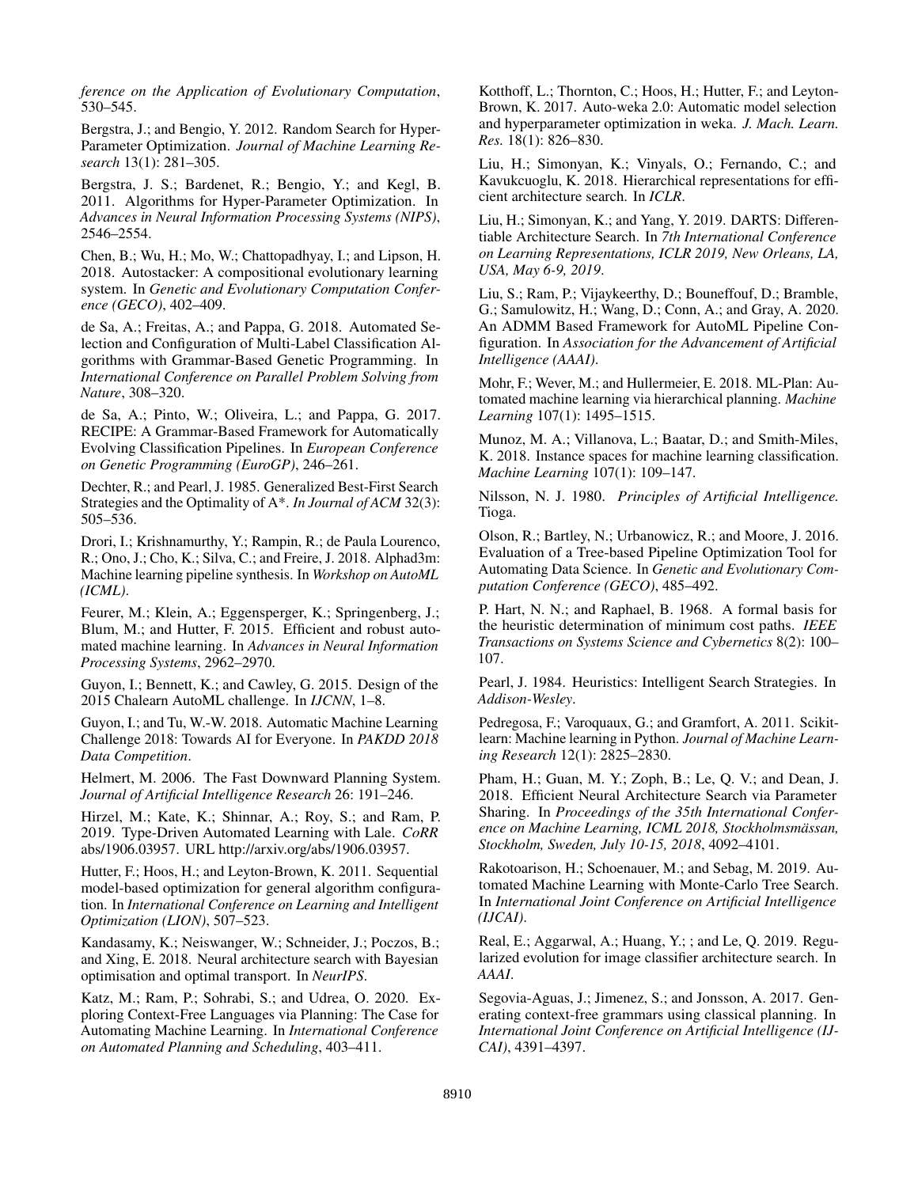*ference on the Application of Evolutionary Computation*, 530–545.

Bergstra, J.; and Bengio, Y. 2012. Random Search for Hyper-Parameter Optimization. *Journal of Machine Learning Research* 13(1): 281–305.

Bergstra, J. S.; Bardenet, R.; Bengio, Y.; and Kegl, B. 2011. Algorithms for Hyper-Parameter Optimization. In *Advances in Neural Information Processing Systems (NIPS)*, 2546–2554.

Chen, B.; Wu, H.; Mo, W.; Chattopadhyay, I.; and Lipson, H. 2018. Autostacker: A compositional evolutionary learning system. In *Genetic and Evolutionary Computation Conference (GECO)*, 402–409.

de Sa, A.; Freitas, A.; and Pappa, G. 2018. Automated Selection and Configuration of Multi-Label Classification Algorithms with Grammar-Based Genetic Programming. In *International Conference on Parallel Problem Solving from Nature*, 308–320.

de Sa, A.; Pinto, W.; Oliveira, L.; and Pappa, G. 2017. RECIPE: A Grammar-Based Framework for Automatically Evolving Classification Pipelines. In *European Conference on Genetic Programming (EuroGP)*, 246–261.

Dechter, R.; and Pearl, J. 1985. Generalized Best-First Search Strategies and the Optimality of A\*. *In Journal of ACM* 32(3): 505–536.

Drori, I.; Krishnamurthy, Y.; Rampin, R.; de Paula Lourenco, R.; Ono, J.; Cho, K.; Silva, C.; and Freire, J. 2018. Alphad3m: Machine learning pipeline synthesis. In *Workshop on AutoML (ICML)*.

Feurer, M.; Klein, A.; Eggensperger, K.; Springenberg, J.; Blum, M.; and Hutter, F. 2015. Efficient and robust automated machine learning. In *Advances in Neural Information Processing Systems*, 2962–2970.

Guyon, I.; Bennett, K.; and Cawley, G. 2015. Design of the 2015 Chalearn AutoML challenge. In *IJCNN*, 1–8.

Guyon, I.; and Tu, W.-W. 2018. Automatic Machine Learning Challenge 2018: Towards AI for Everyone. In *PAKDD 2018 Data Competition*.

Helmert, M. 2006. The Fast Downward Planning System. *Journal of Artificial Intelligence Research* 26: 191–246.

Hirzel, M.; Kate, K.; Shinnar, A.; Roy, S.; and Ram, P. 2019. Type-Driven Automated Learning with Lale. *CoRR* abs/1906.03957. URL http://arxiv.org/abs/1906.03957.

Hutter, F.; Hoos, H.; and Leyton-Brown, K. 2011. Sequential model-based optimization for general algorithm configuration. In *International Conference on Learning and Intelligent Optimization (LION)*, 507–523.

Kandasamy, K.; Neiswanger, W.; Schneider, J.; Poczos, B.; and Xing, E. 2018. Neural architecture search with Bayesian optimisation and optimal transport. In *NeurIPS*.

Katz, M.; Ram, P.; Sohrabi, S.; and Udrea, O. 2020. Exploring Context-Free Languages via Planning: The Case for Automating Machine Learning. In *International Conference on Automated Planning and Scheduling*, 403–411.

Kotthoff, L.; Thornton, C.; Hoos, H.; Hutter, F.; and Leyton-Brown, K. 2017. Auto-weka 2.0: Automatic model selection and hyperparameter optimization in weka. *J. Mach. Learn. Res.* 18(1): 826–830.

Liu, H.; Simonyan, K.; Vinyals, O.; Fernando, C.; and Kavukcuoglu, K. 2018. Hierarchical representations for efficient architecture search. In *ICLR*.

Liu, H.; Simonyan, K.; and Yang, Y. 2019. DARTS: Differentiable Architecture Search. In *7th International Conference on Learning Representations, ICLR 2019, New Orleans, LA, USA, May 6-9, 2019*.

Liu, S.; Ram, P.; Vijaykeerthy, D.; Bouneffouf, D.; Bramble, G.; Samulowitz, H.; Wang, D.; Conn, A.; and Gray, A. 2020. An ADMM Based Framework for AutoML Pipeline Configuration. In *Association for the Advancement of Artificial Intelligence (AAAI)*.

Mohr, F.; Wever, M.; and Hullermeier, E. 2018. ML-Plan: Automated machine learning via hierarchical planning. *Machine Learning* 107(1): 1495–1515.

Munoz, M. A.; Villanova, L.; Baatar, D.; and Smith-Miles, K. 2018. Instance spaces for machine learning classification. *Machine Learning* 107(1): 109–147.

Nilsson, N. J. 1980. *Principles of Artificial Intelligence.* Tioga.

Olson, R.; Bartley, N.; Urbanowicz, R.; and Moore, J. 2016. Evaluation of a Tree-based Pipeline Optimization Tool for Automating Data Science. In *Genetic and Evolutionary Computation Conference (GECO)*, 485–492.

P. Hart, N. N.; and Raphael, B. 1968. A formal basis for the heuristic determination of minimum cost paths. *IEEE Transactions on Systems Science and Cybernetics* 8(2): 100– 107.

Pearl, J. 1984. Heuristics: Intelligent Search Strategies. In *Addison-Wesley*.

Pedregosa, F.; Varoquaux, G.; and Gramfort, A. 2011. Scikitlearn: Machine learning in Python. *Journal of Machine Learning Research* 12(1): 2825–2830.

Pham, H.; Guan, M. Y.; Zoph, B.; Le, Q. V.; and Dean, J. 2018. Efficient Neural Architecture Search via Parameter Sharing. In *Proceedings of the 35th International Conference on Machine Learning, ICML 2018, Stockholmsmässan, Stockholm, Sweden, July 10-15, 2018*, 4092–4101.

Rakotoarison, H.; Schoenauer, M.; and Sebag, M. 2019. Automated Machine Learning with Monte-Carlo Tree Search. In *International Joint Conference on Artificial Intelligence (IJCAI)*.

Real, E.; Aggarwal, A.; Huang, Y.; ; and Le, Q. 2019. Regularized evolution for image classifier architecture search. In *AAAI*.

Segovia-Aguas, J.; Jimenez, S.; and Jonsson, A. 2017. Generating context-free grammars using classical planning. In *International Joint Conference on Artificial Intelligence (IJ-CAI)*, 4391–4397.